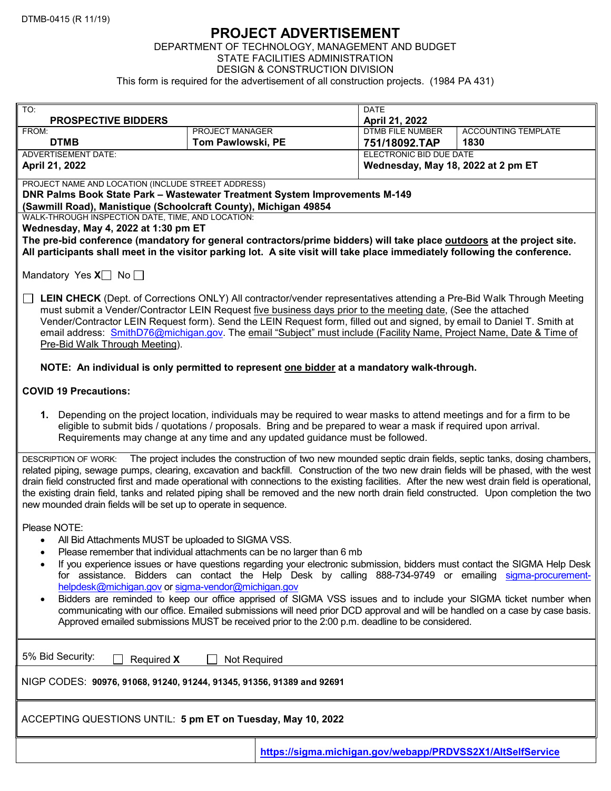## PROJECT ADVERTISEMENT

## DEPARTMENT OF TECHNOLOGY, MANAGEMENT AND BUDGET STATE FACILITIES ADMINISTRATION DESIGN & CONSTRUCTION DIVISION This form is required for the advertisement of all construction projects. (1984 PA 431)

| TO:                                                                                                                                                                                                                                                                                      |                                                                                                              | <b>DATE</b>                               |  |                                                            |  |
|------------------------------------------------------------------------------------------------------------------------------------------------------------------------------------------------------------------------------------------------------------------------------------------|--------------------------------------------------------------------------------------------------------------|-------------------------------------------|--|------------------------------------------------------------|--|
| <b>PROSPECTIVE BIDDERS</b><br>PROJECT MANAGER<br>FROM:                                                                                                                                                                                                                                   |                                                                                                              | April 21, 2022<br><b>DTMB FILE NUMBER</b> |  | <b>ACCOUNTING TEMPLATE</b>                                 |  |
| <b>DTMB</b>                                                                                                                                                                                                                                                                              | Tom Pawlowski, PE                                                                                            | 751/18092.TAP                             |  | 1830                                                       |  |
| <b>ADVERTISEMENT DATE:</b>                                                                                                                                                                                                                                                               |                                                                                                              | <b>ELECTRONIC BID DUE DATE</b>            |  |                                                            |  |
| April 21, 2022                                                                                                                                                                                                                                                                           |                                                                                                              |                                           |  | Wednesday, May 18, 2022 at 2 pm ET                         |  |
| PROJECT NAME AND LOCATION (INCLUDE STREET ADDRESS)                                                                                                                                                                                                                                       |                                                                                                              |                                           |  |                                                            |  |
| DNR Palms Book State Park - Wastewater Treatment System Improvements M-149<br>(Sawmill Road), Manistique (Schoolcraft County), Michigan 49854                                                                                                                                            |                                                                                                              |                                           |  |                                                            |  |
| WALK-THROUGH INSPECTION DATE, TIME, AND LOCATION:                                                                                                                                                                                                                                        |                                                                                                              |                                           |  |                                                            |  |
| Wednesday, May 4, 2022 at 1:30 pm ET                                                                                                                                                                                                                                                     |                                                                                                              |                                           |  |                                                            |  |
| The pre-bid conference (mandatory for general contractors/prime bidders) will take place outdoors at the project site.                                                                                                                                                                   |                                                                                                              |                                           |  |                                                            |  |
| All participants shall meet in the visitor parking lot. A site visit will take place immediately following the conference.                                                                                                                                                               |                                                                                                              |                                           |  |                                                            |  |
| Mandatory Yes $X$ No $\Box$                                                                                                                                                                                                                                                              |                                                                                                              |                                           |  |                                                            |  |
| LEIN CHECK (Dept. of Corrections ONLY) All contractor/vender representatives attending a Pre-Bid Walk Through Meeting                                                                                                                                                                    |                                                                                                              |                                           |  |                                                            |  |
|                                                                                                                                                                                                                                                                                          | must submit a Vender/Contractor LEIN Request five business days prior to the meeting date, (See the attached |                                           |  |                                                            |  |
| Vender/Contractor LEIN Request form). Send the LEIN Request form, filled out and signed, by email to Daniel T. Smith at                                                                                                                                                                  |                                                                                                              |                                           |  |                                                            |  |
| email address: SmithD76@michigan.gov. The email "Subject" must include (Facility Name, Project Name, Date & Time of<br>Pre-Bid Walk Through Meeting).                                                                                                                                    |                                                                                                              |                                           |  |                                                            |  |
|                                                                                                                                                                                                                                                                                          |                                                                                                              |                                           |  |                                                            |  |
| NOTE: An individual is only permitted to represent one bidder at a mandatory walk-through.                                                                                                                                                                                               |                                                                                                              |                                           |  |                                                            |  |
| <b>COVID 19 Precautions:</b>                                                                                                                                                                                                                                                             |                                                                                                              |                                           |  |                                                            |  |
| 1. Depending on the project location, individuals may be required to wear masks to attend meetings and for a firm to be                                                                                                                                                                  |                                                                                                              |                                           |  |                                                            |  |
| eligible to submit bids / quotations / proposals. Bring and be prepared to wear a mask if required upon arrival.                                                                                                                                                                         |                                                                                                              |                                           |  |                                                            |  |
| Requirements may change at any time and any updated guidance must be followed.                                                                                                                                                                                                           |                                                                                                              |                                           |  |                                                            |  |
| DESCRIPTION OF WORK: The project includes the construction of two new mounded septic drain fields, septic tanks, dosing chambers,                                                                                                                                                        |                                                                                                              |                                           |  |                                                            |  |
| related piping, sewage pumps, clearing, excavation and backfill. Construction of the two new drain fields will be phased, with the west                                                                                                                                                  |                                                                                                              |                                           |  |                                                            |  |
| drain field constructed first and made operational with connections to the existing facilities. After the new west drain field is operational,<br>the existing drain field, tanks and related piping shall be removed and the new north drain field constructed. Upon completion the two |                                                                                                              |                                           |  |                                                            |  |
| new mounded drain fields will be set up to operate in sequence.                                                                                                                                                                                                                          |                                                                                                              |                                           |  |                                                            |  |
|                                                                                                                                                                                                                                                                                          |                                                                                                              |                                           |  |                                                            |  |
| Please NOTE:<br>All Bid Attachments MUST be uploaded to SIGMA VSS.                                                                                                                                                                                                                       |                                                                                                              |                                           |  |                                                            |  |
| Please remember that individual attachments can be no larger than 6 mb                                                                                                                                                                                                                   |                                                                                                              |                                           |  |                                                            |  |
| If you experience issues or have questions regarding your electronic submission, bidders must contact the SIGMA Help Desk                                                                                                                                                                |                                                                                                              |                                           |  |                                                            |  |
| for assistance. Bidders can contact the Help Desk by calling 888-734-9749 or emailing sigma-procurement-                                                                                                                                                                                 |                                                                                                              |                                           |  |                                                            |  |
| helpdesk@michigan.gov or sigma-vendor@michigan.gov                                                                                                                                                                                                                                       |                                                                                                              |                                           |  |                                                            |  |
| Bidders are reminded to keep our office apprised of SIGMA VSS issues and to include your SIGMA ticket number when<br>communicating with our office. Emailed submissions will need prior DCD approval and will be handled on a case by case basis.                                        |                                                                                                              |                                           |  |                                                            |  |
| Approved emailed submissions MUST be received prior to the 2:00 p.m. deadline to be considered.                                                                                                                                                                                          |                                                                                                              |                                           |  |                                                            |  |
|                                                                                                                                                                                                                                                                                          |                                                                                                              |                                           |  |                                                            |  |
| 5% Bid Security:<br>Not Required<br>Required X                                                                                                                                                                                                                                           |                                                                                                              |                                           |  |                                                            |  |
|                                                                                                                                                                                                                                                                                          |                                                                                                              |                                           |  |                                                            |  |
| NIGP CODES: 90976, 91068, 91240, 91244, 91345, 91356, 91389 and 92691                                                                                                                                                                                                                    |                                                                                                              |                                           |  |                                                            |  |
| ACCEPTING QUESTIONS UNTIL: 5 pm ET on Tuesday, May 10, 2022                                                                                                                                                                                                                              |                                                                                                              |                                           |  |                                                            |  |
|                                                                                                                                                                                                                                                                                          |                                                                                                              |                                           |  |                                                            |  |
|                                                                                                                                                                                                                                                                                          |                                                                                                              |                                           |  | https://sigma.michigan.gov/webapp/PRDVSS2X1/AltSelfService |  |